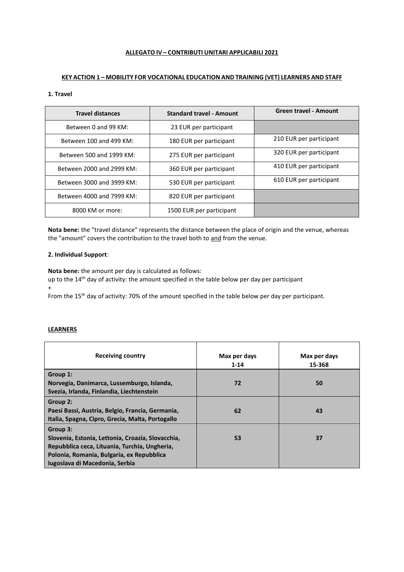## **ALLEGATO IV – CONTRIBUTI UNITARI APPLICABILI 2021**

# **KEY ACTION 1 – MOBILITY FOR VOCATIONAL EDUCATION AND TRAINING (VET) LEARNERS AND STAFF**

# **1. Travel**

| <b>Travel distances</b>   | <b>Standard travel - Amount</b> | <b>Green travel - Amount</b> |
|---------------------------|---------------------------------|------------------------------|
| Between 0 and 99 KM:      | 23 EUR per participant          |                              |
| Between 100 and 499 KM:   | 180 EUR per participant         | 210 EUR per participant      |
| Between 500 and 1999 KM:  | 275 EUR per participant         | 320 EUR per participant      |
| Between 2000 and 2999 KM: | 360 EUR per participant         | 410 EUR per participant      |
| Between 3000 and 3999 KM: | 530 EUR per participant         | 610 EUR per participant      |
| Between 4000 and 7999 KM: | 820 EUR per participant         |                              |
| 8000 KM or more:          | 1500 EUR per participant        |                              |

**Nota bene:** the "travel distance" represents the distance between the place of origin and the venue, whereas the "amount" covers the contribution to the travel both to and from the venue.

## **2. Individual Support**:

**Nota bene:** the amount per day is calculated as follows:

up to the 14<sup>th</sup> day of activity: the amount specified in the table below per day per participant +

From the 15<sup>th</sup> day of activity: 70% of the amount specified in the table below per day per participant.

## **LEARNERS**

| <b>Receiving country</b>                                                                | Max per days<br>$1 - 14$ | Max per days<br>15-368 |
|-----------------------------------------------------------------------------------------|--------------------------|------------------------|
| Group 1:                                                                                |                          |                        |
| Norvegia, Danimarca, Lussemburgo, Islanda,<br>Svezia, Irlanda, Finlandia, Liechtenstein | 72                       | 50                     |
| Group 2:                                                                                |                          |                        |
| Paesi Bassi, Austria, Belgio, Francia, Germania,                                        | 62                       | 43                     |
| Italia, Spagna, Cipro, Grecia, Malta, Portogallo                                        |                          |                        |
| Group 3:                                                                                |                          |                        |
| Slovenia, Estonia, Lettonia, Croazia, Slovacchia,                                       | 53                       | 37                     |
| Repubblica ceca, Lituania, Turchia, Ungheria,                                           |                          |                        |
| Polonia, Romania, Bulgaria, ex Repubblica                                               |                          |                        |
| Iugoslava di Macedonia, Serbia                                                          |                          |                        |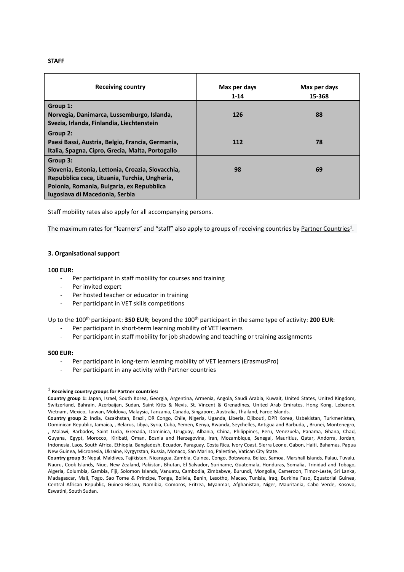## **STAFF**

| <b>Receiving country</b>                          | Max per days<br>$1 - 14$ | Max per days<br>15-368 |
|---------------------------------------------------|--------------------------|------------------------|
| Group 1:                                          |                          |                        |
| Norvegia, Danimarca, Lussemburgo, Islanda,        | 126                      | 88                     |
| Svezia, Irlanda, Finlandia, Liechtenstein         |                          |                        |
| Group 2:                                          |                          |                        |
| Paesi Bassi, Austria, Belgio, Francia, Germania,  | 112                      | 78                     |
| Italia, Spagna, Cipro, Grecia, Malta, Portogallo  |                          |                        |
| Group 3:                                          |                          |                        |
| Slovenia, Estonia, Lettonia, Croazia, Slovacchia, | 98                       | 69                     |
| Repubblica ceca, Lituania, Turchia, Ungheria,     |                          |                        |
| Polonia, Romania, Bulgaria, ex Repubblica         |                          |                        |
| Iugoslava di Macedonia, Serbia                    |                          |                        |

Staff mobility rates also apply for all accompanying persons.

The maximum rates for "learners" and "staff" also apply to groups of receiving countries by <u>Partner Countries</u><sup>1</sup>.

## **3. Organisational support**

#### **100 EUR:**

- Per participant in staff mobility for courses and training
- Per invited expert
- Per hosted teacher or educator in training
- Per participant in VET skills competitions

Up to the 100th participant: **350 EUR**; beyond the 100th participant in the same type of activity: **200 EUR**:

- Per participant in short-term learning mobility of VET learners
- Per participant in staff mobility for job shadowing and teaching or training assignments

#### **500 EUR:**

- Per participant in long-term learning mobility of VET learners (ErasmusPro)
- Per participant in any activity with Partner countries

<sup>1</sup> **Receiving country groups for Partner countries:**

**Country group 1:** Japan, Israel, South Korea, Georgia, Argentina, Armenia, Angola, Saudi Arabia, Kuwait, United States, United Kingdom, Switzerland, Bahrain, Azerbaijan, Sudan, Saint Kitts & Nevis, St. Vincent & Grenadines, United Arab Emirates, Hong Kong, Lebanon, Vietnam, Mexico, Taiwan, Moldova, Malaysia, Tanzania, Canada, Singapore, Australia, Thailand, Faroe Islands.

**Country group 2:** India, Kazakhstan, Brazil, DR Congo, Chile, Nigeria, Uganda, Liberia, Djibouti, DPR Korea, Uzbekistan, Turkmenistan, Dominican Republic, Jamaica, , Belarus, Libya, Syria, Cuba, Yemen, Kenya, Rwanda, Seychelles, Antigua and Barbuda, , Brunei, Montenegro, , Malawi, Barbados, Saint Lucia, Grenada, Dominica, Uruguay, Albania, China, Philippines, Peru, Venezuela, Panama, Ghana, Chad, Guyana, Egypt, Morocco, Kiribati, Oman, Bosnia and Herzegovina, Iran, Mozambique, Senegal, Mauritius, Qatar, Andorra, Jordan, Indonesia, Laos, South Africa, Ethiopia, Bangladesh, Ecuador, Paraguay, Costa Rica, Ivory Coast, Sierra Leone, Gabon, Haiti, Bahamas, Papua New Guinea, Micronesia, Ukraine, Kyrgyzstan, Russia, Monaco, San Marino, Palestine, Vatican City State.

**Country group 3:** Nepal, Maldives, Tajikistan, Nicaragua, Zambia, Guinea, Congo, Botswana, Belize, Samoa, Marshall Islands, Palau, Tuvalu, Nauru, Cook Islands, Niue, New Zealand, Pakistan, Bhutan, El Salvador, Suriname, Guatemala, Honduras, Somalia, Trinidad and Tobago, Algeria, Columbia, Gambia, Fiji, Solomon Islands, Vanuatu, Cambodia, Zimbabwe, Burundi, Mongolia, Cameroon, Timor-Leste, Sri Lanka, Madagascar, Mali, Togo, Sao Tome & Principe, Tonga, Bolivia, Benin, Lesotho, Macao, Tunisia, Iraq, Burkina Faso, Equatorial Guinea, Central African Republic, Guinea-Bissau, Namibia, Comoros, Eritrea, Myanmar, Afghanistan, Niger, Mauritania, Cabo Verde, Kosovo, Eswatini, South Sudan.